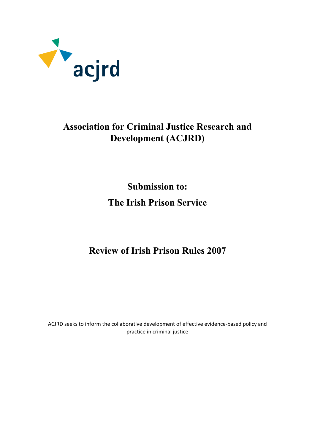

# **Association for Criminal Justice Research and Development (ACJRD)**

**Submission to: The Irish Prison Service** 

**Review of Irish Prison Rules 2007**

ACJRD seeks to inform the collaborative development of effective evidence-based policy and practice in criminal justice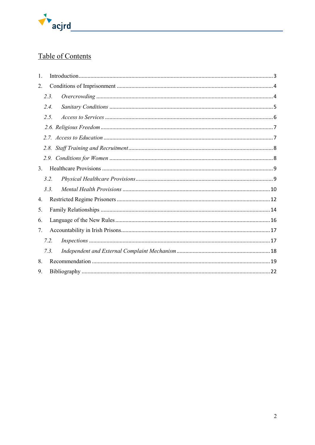

## Table of Contents

| 1. |      |  |
|----|------|--|
| 2. |      |  |
|    | 2.3. |  |
|    | 2.4. |  |
|    | 2.5. |  |
|    |      |  |
|    |      |  |
|    | 2.8. |  |
|    |      |  |
| 3. |      |  |
|    | 3.2. |  |
|    | 3.3  |  |
| 4. |      |  |
| 5. |      |  |
| 6. |      |  |
| 7. |      |  |
|    | 7.2. |  |
|    | 7.3  |  |
| 8. |      |  |
| 9. |      |  |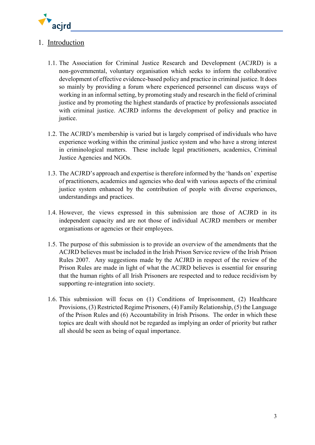

## <span id="page-2-0"></span>1. Introduction

- 1.1. The Association for Criminal Justice Research and Development (ACJRD) is a non-governmental, voluntary organisation which seeks to inform the collaborative development of effective evidence-based policy and practice in criminal justice. It does so mainly by providing a forum where experienced personnel can discuss ways of working in an informal setting, by promoting study and research in the field of criminal justice and by promoting the highest standards of practice by professionals associated with criminal justice. ACJRD informs the development of policy and practice in justice.
- 1.2. The ACJRD's membership is varied but is largely comprised of individuals who have experience working within the criminal justice system and who have a strong interest in criminological matters. These include legal practitioners, academics, Criminal Justice Agencies and NGOs.
- 1.3. The ACJRD's approach and expertise is therefore informed by the 'hands on' expertise of practitioners, academics and agencies who deal with various aspects of the criminal justice system enhanced by the contribution of people with diverse experiences, understandings and practices.
- 1.4. However, the views expressed in this submission are those of ACJRD in its independent capacity and are not those of individual ACJRD members or member organisations or agencies or their employees.
- 1.5. The purpose of this submission is to provide an overview of the amendments that the ACJRD believes must be included in the Irish Prison Service review of the Irish Prison Rules 2007. Any suggestions made by the ACJRD in respect of the review of the Prison Rules are made in light of what the ACJRD believes is essential for ensuring that the human rights of all Irish Prisoners are respected and to reduce recidivism by supporting re-integration into society.
- 1.6. This submission will focus on (1) Conditions of Imprisonment, (2) Healthcare Provisions, (3) Restricted Regime Prisoners, (4) Family Relationship, (5) the Language of the Prison Rules and (6) Accountability in Irish Prisons. The order in which these topics are dealt with should not be regarded as implying an order of priority but rather all should be seen as being of equal importance.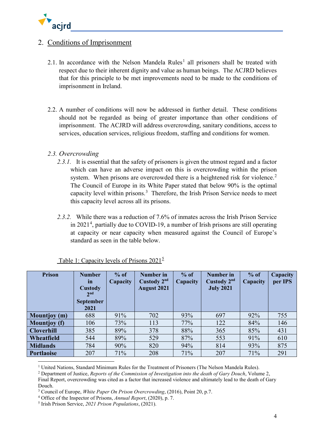

## <span id="page-3-0"></span>2. Conditions of Imprisonment

- 2.[1](#page-3-2). In accordance with the Nelson Mandela Rules<sup>1</sup> all prisoners shall be treated with respect due to their inherent dignity and value as human beings. The ACJRD believes that for this principle to be met improvements need to be made to the conditions of imprisonment in Ireland.
- 2.2. A number of conditions will now be addressed in further detail. These conditions should not be regarded as being of greater importance than other conditions of imprisonment. The ACJRD will address overcrowding, sanitary conditions, access to services, education services, religious freedom, staffing and conditions for women.

## <span id="page-3-1"></span>*2.3. Overcrowding*

- 2.3.1. It is essential that the safety of prisoners is given the utmost regard and a factor which can have an adverse impact on this is overcrowding within the prison system. When prisons are overcrowded there is a heightened risk for violence.<sup>[2](#page-3-3)</sup> The Council of Europe in its White Paper stated that below 90% is the optimal capacity level within prisons.[3](#page-3-4) Therefore, the Irish Prison Service needs to meet this capacity level across all its prisons.
- *2.3.2.* While there was a reduction of 7.6% of inmates across the Irish Prison Service in 2021[4](#page-3-5) , partially due to COVID-19, a number of Irish prisons are still operating at capacity or near capacity when measured against the Council of Europe's standard as seen in the table below.

| Prison              | <b>Number</b><br><i>in</i><br>Custody<br>2 <sub>nd</sub><br><b>September</b><br>2021 | $%$ of<br>Capacity | Number in<br>Custody $2nd$<br><b>August 2021</b> | $%$ of<br>Capacity | Number in<br>Custody $2nd$<br><b>July 2021</b> | $%$ of<br>Capacity | Capacity<br>per IPS |
|---------------------|--------------------------------------------------------------------------------------|--------------------|--------------------------------------------------|--------------------|------------------------------------------------|--------------------|---------------------|
| <b>Mountjoy</b> (m) | 688                                                                                  | 91%                | 702                                              | 93%                | 697                                            | 92%                | 755                 |
| <b>Mountjoy</b> (f) | 106                                                                                  | 73%                | 113                                              | 77%                | 122                                            | 84%                | 146                 |
| <b>Cloverhill</b>   | 385                                                                                  | 89%                | 378                                              | 88%                | 365                                            | 85%                | 431                 |
| Wheatfield          | 544                                                                                  | 89%                | 529                                              | 87%                | 553                                            | 91%                | 610                 |
| <b>Midlands</b>     | 784                                                                                  | 90%                | 820                                              | 94%                | 814                                            | 93%                | 875                 |
| <b>Portlaoise</b>   | 207                                                                                  | 71%                | 208                                              | 71%                | 207                                            | 71%                | 291                 |

Table 1: Capacity levels of Prisons  $2021^5$  $2021^5$ 

<sup>&</sup>lt;sup>1</sup> United Nations, Standard Minimum Rules for the Treatment of Prisoners (The Nelson Mandela Rules).

<span id="page-3-2"></span><sup>2</sup> Department of Justice, *Reports of the Commission of Investigation into the death of Gary Douch*, Volume 2,

<span id="page-3-3"></span>Final Report, overcrowding was cited as a factor that increased violence and ultimately lead to the death of Gary Douch.

<span id="page-3-4"></span><sup>3</sup> Council of Europe, *White Paper On Prison Overcrowding*, (2016), Point 20, p.7.

<span id="page-3-5"></span><sup>4</sup> Office of the Inspector of Prisons, *Annual Report*, (2020), p. 7.

<span id="page-3-6"></span><sup>5</sup> Irish Prison Service, *2021 Prison Populations*, (2021).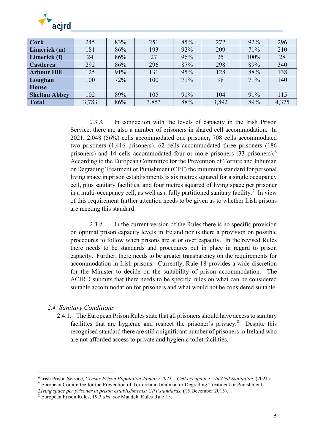

| <b>Cork</b>          | 245   | 83% | 251   | 85% | 272   | 92%  | 296   |
|----------------------|-------|-----|-------|-----|-------|------|-------|
| Limerick (m)         | 181   | 86% | 193   | 92% | 209   | 71%  | 210   |
| Limerick (f)         | 24    | 86% | 27    | 96% | 25    | 100% | 28    |
| <b>Castlerea</b>     | 292   | 86% | 296   | 87% | 298   | 89%  | 340   |
| <b>Arbour Hill</b>   | 125   | 91% | 131   | 95% | 128   | 88%  | 138   |
| Loughan              | 100   | 72% | 100   | 71% | 98    | 71%  | 140   |
| <b>House</b>         |       |     |       |     |       |      |       |
| <b>Shelton Abbey</b> | 102   | 89% | 105   | 91% | 104   | 91%  | 115   |
| <b>Total</b>         | 3,783 | 86% | 3,853 | 88% | 3,892 | 89%  | 4,375 |

*2.3.3.* In connection with the levels of capacity in the Irish Prison Service, there are also a number of prisoners in shared cell accommodation. In 2021, 2,048 (56%) cells accommodated one prisoner, 708 cells accommodated two prisoners (1,416 prisoners), 62 cells accommodated three prisoners (186 prisoners) and 14 cells accommodated four or more prisoners (33 prisoners).[6](#page-4-1) According to the European Committee for the Prevention of Torture and Inhuman or Degrading Treatment or Punishment (CPT) the minimum standard for personal living space in prison establishments is six metres squared for a single occupancy cell, plus sanitary facilities, and four metres squared of living space per prisoner in a multi-occupancy cell, as well as a fully partitioned sanitary facility.<sup>[7](#page-4-2)</sup> In view of this requirement further attention needs to be given as to whether Irish prisons are meeting this standard.

*2.3.4.* In the current version of the Rules there is no specific provision on optimal prison capacity levels in Ireland nor is there a provision on possible procedures to follow when prisons are at or over capacity. In the revised Rules there needs to be standards and procedures put in place in regard to prison capacity. Further, there needs to be greater transparency on the requirements for accommodation in Irish prisons. Currently, Rule 18 provides a wide discretion for the Minister to decide on the suitability of prison accommodation. The ACJRD submits that there needs to be specific rules on what can be considered suitable accommodation for prisoners and what would not be considered suitable.

#### <span id="page-4-0"></span>*2.4. Sanitary Conditions*

 $\overline{a}$ 

2.4.1. The European Prison Rules state that all prisoners should have access to sanitary facilities that are hygienic and respect the prisoner's privacy.<sup>[8](#page-4-3)</sup> Despite this recognised standard there are still a significant number of prisoners in Ireland who are not afforded access to private and hygienic toilet facilities.

<span id="page-4-1"></span><sup>6</sup> Irish Prison Service, *Census Prison Population January 2021 – Cell occupancy – In-Cell Sanitation*, (2021).

<span id="page-4-2"></span><sup>7</sup> European Committee for the Prevention of Torture and Inhuman or Degrading Treatment or Punishment,

*Living space per prisoner in prison establishments: CPT standards*, (15 December 2015).

<span id="page-4-3"></span><sup>8</sup> European Prison Rules, 19.3 *also see* Mandela Rules Rule 15.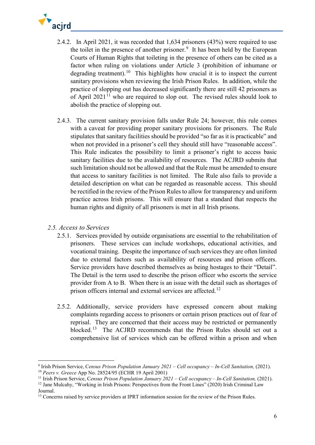

- 2.4.2. In April 2021, it was recorded that 1,634 prisoners (43%) were required to use the toilet in the presence of another prisoner. $9$  It has been held by the European Courts of Human Rights that toileting in the presence of others can be cited as a factor when ruling on violations under Article 3 (prohibition of inhumane or degrading treatment).<sup>[10](#page-5-2)</sup> This highlights how crucial it is to inspect the current sanitary provisions when reviewing the Irish Prison Rules. In addition, while the practice of slopping out has decreased significantly there are still 42 prisoners as of April  $2021<sup>11</sup>$  $2021<sup>11</sup>$  $2021<sup>11</sup>$  who are required to slop out. The revised rules should look to abolish the practice of slopping out.
- 2.4.3. The current sanitary provision falls under Rule 24; however, this rule comes with a caveat for providing proper sanitary provisions for prisoners. The Rule stipulates that sanitary facilities should be provided "so far as it is practicable" and when not provided in a prisoner's cell they should still have "reasonable access". This Rule indicates the possibility to limit a prisoner's right to access basic sanitary facilities due to the availability of resources. The ACJRD submits that such limitation should not be allowed and that the Rule must be amended to ensure that access to sanitary facilities is not limited. The Rule also fails to provide a detailed description on what can be regarded as reasonable access. This should be rectified in the review of the Prison Rules to allow for transparency and uniform practice across Irish prisons. This will ensure that a standard that respects the human rights and dignity of all prisoners is met in all Irish prisons.

## <span id="page-5-0"></span>*2.5. Access to Services*

<u>.</u>

- 2.5.1. Services provided by outside organisations are essential to the rehabilitation of prisoners. These services can include workshops, educational activities, and vocational training. Despite the importance of such services they are often limited due to external factors such as availability of resources and prison officers. Service providers have described themselves as being hostages to their "Detail". The Detail is the term used to describe the prison officer who escorts the service provider from A to B. When there is an issue with the detail such as shortages of prison officers internal and external services are affected.<sup>[12](#page-5-4)</sup>
- 2.5.2. Additionally, service providers have expressed concern about making complaints regarding access to prisoners or certain prison practices out of fear of reprisal. They are concerned that their access may be restricted or permanently blocked.[13](#page-5-5) The ACJRD recommends that the Prison Rules should set out a comprehensive list of services which can be offered within a prison and when

<span id="page-5-1"></span><sup>9</sup> Irish Prison Service, C*ensus Prison Population January 2021 – Cell occupancy – In-Cell Sanitation,* (2021).

<span id="page-5-2"></span><sup>10</sup> *Peers v. Greece* App No. 28524/95 (ECHR 19 April 2001)

<span id="page-5-3"></span><sup>11</sup> Irish Prison Service, C*ensus Prison Population January 2021 – Cell occupancy – In-Cell Sanitation,* (2021).

<span id="page-5-4"></span><sup>&</sup>lt;sup>12</sup> Jane Mulcahy, "Working in Irish Prisons: Perspectives from the Front Lines" (2020) Irish Criminal Law Journal.

<span id="page-5-5"></span><sup>&</sup>lt;sup>13</sup> Concerns raised by service providers at IPRT information session for the review of the Prison Rules.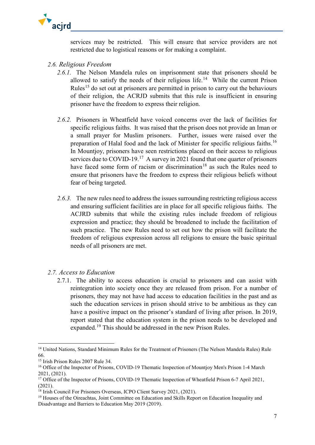

services may be restricted. This will ensure that service providers are not restricted due to logistical reasons or for making a complaint.

- <span id="page-6-0"></span>*2.6. Religious Freedom*
	- *2.6.1.* The Nelson Mandela rules on imprisonment state that prisoners should be allowed to satisfy the needs of their religious life.<sup>[14](#page-6-2)</sup> While the current Prison Rules<sup>[15](#page-6-3)</sup> do set out at prisoners are permitted in prison to carry out the behaviours of their religion, the ACRJD submits that this rule is insufficient in ensuring prisoner have the freedom to express their religion.
	- *2.6.2.* Prisoners in Wheatfield have voiced concerns over the lack of facilities for specific religious faiths. It was raised that the prison does not provide an Iman or a small prayer for Muslim prisoners. Further, issues were raised over the preparation of Halal food and the lack of Minister for specific religious faiths.[16](#page-6-4) In Mountjoy, prisoners have seen restrictions placed on their access to religious services due to COVID-19.<sup>[17](#page-6-5)</sup> A survey in 2021 found that one quarter of prisoners have faced some form of racism or discrimination<sup>[18](#page-6-6)</sup> as such the Rules need to ensure that prisoners have the freedom to express their religious beliefs without fear of being targeted.
	- *2.6.3.* The new rules need to address the issues surrounding restricting religious access and ensuring sufficient facilities are in place for all specific religious faiths. The ACJRD submits that while the existing rules include freedom of religious expression and practice; they should be broadened to include the facilitation of such practice. The new Rules need to set out how the prison will facilitate the freedom of religious expression across all religions to ensure the basic spiritual needs of all prisoners are met.

#### <span id="page-6-1"></span>*2.7. Access to Education*

2.7.1. The ability to access education is crucial to prisoners and can assist with reintegration into society once they are released from prison. For a number of prisoners, they may not have had access to education facilities in the past and as such the education services in prison should strive to be ambitious as they can have a positive impact on the prisoner's standard of living after prison. In 2019, report stated that the education system in the prison needs to be developed and expanded.<sup>[19](#page-6-7)</sup> This should be addressed in the new Prison Rules.

<span id="page-6-2"></span><sup>&</sup>lt;sup>14</sup> United Nations, Standard Minimum Rules for the Treatment of Prisoners (The Nelson Mandela Rules) Rule 66.

<span id="page-6-3"></span><sup>15</sup> Irish Prison Rules 2007 Rule 34.

<span id="page-6-4"></span><sup>&</sup>lt;sup>16</sup> Office of the Inspector of Prisons, COVID-19 Thematic Inspection of Mountjoy Men's Prison 1-4 March 2021, (2021).

<span id="page-6-5"></span><sup>&</sup>lt;sup>17</sup> Office of the Inspector of Prisons, COVID-19 Thematic Inspection of Wheatfield Prison 6-7 April 2021, (2021).

<span id="page-6-6"></span><sup>&</sup>lt;sup>18</sup> Irish Council For Prisoners Overseas, ICPO Client Survey 2021, (2021).

<span id="page-6-7"></span><sup>&</sup>lt;sup>19</sup> Houses of the Oireachtas, Joint Committee on Education and Skills Report on Education Inequality and Disadvantage and Barriers to Education May 2019 (2019).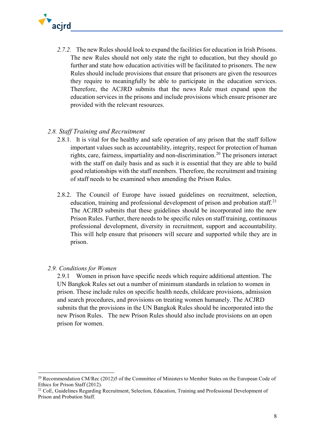

*2.7.2.* The new Rules should look to expand the facilities for education in Irish Prisons. The new Rules should not only state the right to education, but they should go further and state how education activities will be facilitated to prisoners. The new Rules should include provisions that ensure that prisoners are given the resources they require to meaningfully be able to participate in the education services. Therefore, the ACJRD submits that the news Rule must expand upon the education services in the prisons and include provisions which ensure prisoner are provided with the relevant resources.

#### <span id="page-7-0"></span>*2.8. Staff Training and Recruitment*

- 2.8.1. It is vital for the healthy and safe operation of any prison that the staff follow important values such as accountability, integrity, respect for protection of human rights, care, fairness, impartiality and non-discrimination. [20](#page-7-2) The prisoners interact with the staff on daily basis and as such it is essential that they are able to build good relationships with the staff members. Therefore, the recruitment and training of staff needs to be examined when amending the Prison Rules.
- 2.8.2. The Council of Europe have issued guidelines on recruitment, selection, education, training and professional development of prison and probation staff.<sup>[21](#page-7-3)</sup> The ACJRD submits that these guidelines should be incorporated into the new Prison Rules. Further, there needs to be specific rules on staff training, continuous professional development, diversity in recruitment, support and accountability. This will help ensure that prisoners will secure and supported while they are in prison.
- <span id="page-7-1"></span>*2.9. Conditions for Women*

 $\overline{a}$ 

2.9.1 Women in prison have specific needs which require additional attention. The UN Bangkok Rules set out a number of minimum standards in relation to women in prison. These include rules on specific health needs, childcare provisions, admission and search procedures, and provisions on treating women humanely. The ACJRD submits that the provisions in the UN Bangkok Rules should be incorporated into the new Prison Rules. The new Prison Rules should also include provisions on an open prison for women.

<span id="page-7-2"></span><sup>&</sup>lt;sup>20</sup> Recommendation CM/Rec (2012)5 of the Committee of Ministers to Member States on the European Code of Ethics for Prison Staff (2012).

<span id="page-7-3"></span><sup>&</sup>lt;sup>21</sup> CoE, Guidelines Regarding Recruitment, Selection, Education, Training and Professional Development of Prison and Probation Staff.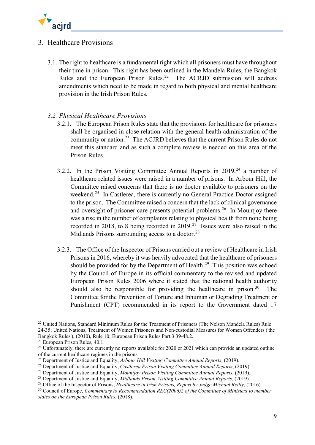

## <span id="page-8-0"></span>3. Healthcare Provisions

- 3.1. The right to healthcare is a fundamental right which all prisoners must have throughout their time in prison. This right has been outlined in the Mandela Rules, the Bangkok Rules and the European Prison Rules.<sup>[22](#page-8-2)</sup> The ACRJD submission will address amendments which need to be made in regard to both physical and mental healthcare provision in the Irish Prison Rules.
- <span id="page-8-1"></span>*3.2. Physical Healthcare Provisions* 
	- 3.2.1. The European Prison Rules state that the provisions for healthcare for prisoners shall be organised in close relation with the general health administration of the community or nation.[23](#page-8-3) The ACJRD believes that the current Prison Rules do not meet this standard and as such a complete review is needed on this area of the Prison Rules.
	- 3.2.2. In the Prison Visiting Committee Annual Reports in  $2019<sup>24</sup>$  $2019<sup>24</sup>$  $2019<sup>24</sup>$  a number of healthcare related issues were raised in a number of prisons. In Arbour Hill, the Committee raised concerns that there is no doctor available to prisoners on the weekend.<sup>[25](#page-8-5)</sup> In Castlerea, there is currently no General Practice Doctor assigned to the prison. The Committee raised a concern that the lack of clinical governance and oversight of prisoner care presents potential problems.<sup>[26](#page-8-6)</sup> In Mountiov there was a rise in the number of complaints relating to physical health from none being recorded in 2018, to 8 being recorded in 2019.[27](#page-8-7) Issues were also raised in the Midlands Prisons surrounding access to a doctor.<sup>[28](#page-8-8)</sup>
	- 3.2.3. The Office of the Inspector of Prisons carried out a review of Healthcare in Irish Prisons in 2016, whereby it was heavily advocated that the healthcare of prisoners should be provided for by the Department of Health.<sup>[29](#page-8-9)</sup> This position was echoed by the Council of Europe in its official commentary to the revised and updated European Prison Rules 2006 where it stated that the national health authority should also be responsible for providing the healthcare in prison.<sup>[30](#page-8-10)</sup> The Committee for the Prevention of Torture and Inhuman or Degrading Treatment or Punishment (CPT) recommended in its report to the Government dated 17

<span id="page-8-2"></span><sup>&</sup>lt;sup>22</sup> United Nations, Standard Minimum Rules for the Treatment of Prisoners (The Nelson Mandela Rules) Rule 24-35; United Nations, Treatment of Women Prisoners and Non-custodial Measures for Women Offenders ('the Bangkok Rules'), (2010), Rule 10; European Prison Rules Part 3 39-48.2.

<span id="page-8-3"></span><sup>23</sup> European Prison Rules, 40.1.

<span id="page-8-4"></span> $24$  Unfortunately, there are currently no reports available for 2020 or 2021 which can provide an updated outline of the current healthcare regimes in the prisons.

<span id="page-8-5"></span><sup>25</sup> Department of Justice and Equality, *Arbour Hill Visiting Committee Annual Reports*, (2019).

<span id="page-8-6"></span><sup>26</sup> Department of Justice and Equality, *Castlerea Prison Visiting Committee Annual Reports*, (2019).

<span id="page-8-7"></span><sup>27</sup> Department of Justice and Equality, *Mountjoy Prison Visiting Committee Annual Reports*, (2019).

<span id="page-8-8"></span><sup>28</sup> Department of Justice and Equality, *Midlands Prison Visiting Committee Annual Reports*, (2019).

<span id="page-8-9"></span><sup>&</sup>lt;sup>29</sup> Office of the Inspector of Prisons, *Healthcare in Irish Prisons, Report by Judge Michael Reilly*, (2016).

<span id="page-8-10"></span><sup>&</sup>lt;sup>30</sup> Council of Europe, *Commentary to Recommendation REC(2006)2 of the Committee of Ministers to member states on the European Prison Rules*, (2018).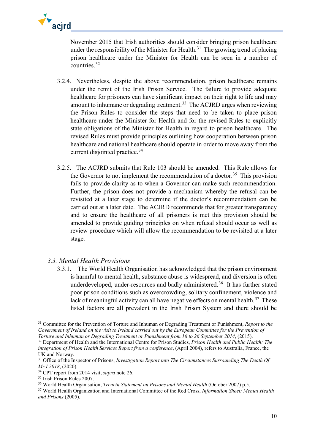

November 2015 that Irish authorities should consider bringing prison healthcare under the responsibility of the Minister for Health.<sup>[31](#page-9-1)</sup> The growing trend of placing prison healthcare under the Minister for Health can be seen in a number of countries.[32](#page-9-2)

- 3.2.4. Nevertheless, despite the above recommendation, prison healthcare remains under the remit of the Irish Prison Service. The failure to provide adequate healthcare for prisoners can have significant impact on their right to life and may amount to inhumane or degrading treatment.<sup>[33](#page-9-3)</sup> The ACJRD urges when reviewing the Prison Rules to consider the steps that need to be taken to place prison healthcare under the Minister for Health and for the revised Rules to explicitly state obligations of the Minister for Health in regard to prison healthcare. The revised Rules must provide principles outlining how cooperation between prison healthcare and national healthcare should operate in order to move away from the current disjointed practice.<sup>[34](#page-9-4)</sup>
- 3.2.5. The ACJRD submits that Rule 103 should be amended. This Rule allows for the Governor to not implement the recommendation of a doctor.<sup>[35](#page-9-5)</sup> This provision fails to provide clarity as to when a Governor can make such recommendation. Further, the prison does not provide a mechanism whereby the refusal can be revisited at a later stage to determine if the doctor's recommendation can be carried out at a later date. The ACJRD recommends that for greater transparency and to ensure the healthcare of all prisoners is met this provision should be amended to provide guiding principles on when refusal should occur as well as review procedure which will allow the recommendation to be revisited at a later stage.

## <span id="page-9-0"></span>*3.3. Mental Health Provisions*

3.3.1. The World Health Organisation has acknowledged that the prison environment is harmful to mental health, substance abuse is widespread, and diversion is often underdeveloped, under-resources and badly administered.<sup>[36](#page-9-6)</sup> It has further stated poor prison conditions such as overcrowding, solitary confinement, violence and lack of meaningful activity can all have negative effects on mental health.<sup>[37](#page-9-7)</sup> These listed factors are all prevalent in the Irish Prison System and there should be

<span id="page-9-1"></span><sup>31</sup> Committee for the Prevention of Torture and Inhuman or Degrading Treatment or Punishment, *Report to the Government of Ireland on the visit to Ireland carried out by the European Committee for the Prevention of Torture and Inhuman or Degrading Treatment or Punishment from 16 to 26 September 2014*, (2015).

<span id="page-9-2"></span><sup>32</sup> Department of Health and the International Centre for Prison Studies, *Prison Health and Public Health: The integration of Prison Health Services Report from a conference*, (April 2004), refers to Australia, France, the UK and Norway.

<span id="page-9-3"></span><sup>33</sup> Office of the Inspector of Prisons, *Investigation Report into The Circumstances Surrounding The Death Of Mr I 2018*, (2020).

<span id="page-9-4"></span><sup>34</sup> CPT report from 2014 visit, *supra* note 26.

<span id="page-9-5"></span><sup>&</sup>lt;sup>35</sup> Irish Prison Rules 2007.

<span id="page-9-6"></span><sup>36</sup> World Health Organisation, *Trencin Statement on Prisons and Mental Health* (October 2007) p.5.

<span id="page-9-7"></span><sup>37</sup> World Health Organization and International Committee of the Red Cross, *Information Sheet: Mental Health and Prisons* (2005).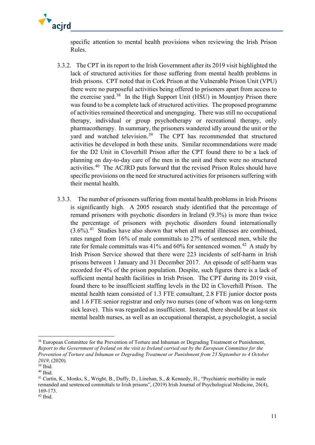

specific attention to mental health provisions when reviewing the Irish Prison Rules.

- 3.3.2. The CPT in its report to the Irish Government after its 2019 visit highlighted the lack of structured activities for those suffering from mental health problems in Irish prisons. CPT noted that in Cork Prison at the Vulnerable Prison Unit (VPU) there were no purposeful activities being offered to prisoners apart from access to the exercise yard.<sup>[38](#page-10-0)</sup> In the High Support Unit (HSU) in Mountjoy Prison there was found to be a complete lack of structured activities. The proposed programme of activities remained theoretical and unengaging. There was still no occupational therapy, individual or group psychotherapy or recreational therapy, only pharmacotherapy. In summary, the prisoners wandered idly around the unit or the yard and watched television.<sup>[39](#page-10-1)</sup> The CPT has recommended that structured activities be developed in both these units. Similar recommendations were made for the D2 Unit in Cloverhill Prison after the CPT found there to be a lack of planning on day-to-day care of the men in the unit and there were no structured activities.[40](#page-10-2) The ACJRD puts forward that the revised Prison Rules should have specific provisions on the need for structured activities for prisoners suffering with their mental health.
- 3.3.3. The number of prisoners suffering from mental health problems in Irish Prisons is significantly high. A 2005 research study identified that the percentage of remand prisoners with psychotic disorders in Ireland (9.3%) is more than twice the percentage of prisoners with psychotic disorders found internationally  $(3.6\%)$ <sup>[41](#page-10-3)</sup> Studies have also shown that when all mental illnesses are combined, rates ranged from 16% of male committals to 27% of sentenced men, while the rate for female committals was 41% and 60% for sentenced women.<sup>[42](#page-10-4)</sup> A study by Irish Prison Service showed that there were 223 incidents of self-harm in Irish prisons between 1 January and 31 December 2017. An episode of self-harm was recorded for 4% of the prison population. Despite, such figures there is a lack of sufficient mental health facilities in Irish Prison. The CPT during its 2019 visit, found there to be insufficient staffing levels in the D2 in Cloverhill Prison. The mental health team consisted of 1.3 FTE consultant, 2.8 FTE junior doctor posts and 1.6 FTE senior registrar and only two nurses (one of whom was on long-term sick leave). This was regarded as insufficient. Instead, there should be at least six mental health nurses, as well as an occupational therapist, a psychologist, a social

<span id="page-10-0"></span><sup>&</sup>lt;sup>38</sup> European Committee for the Prevention of Torture and Inhuman or Degrading Treatment or Punishment, *Report to the Government of Ireland on the visit to Ireland carried out by the European Committee for the Prevention of Torture and Inhuman or Degrading Treatment or Punishment from 23 September to 4 October 2019*, (2020).

<span id="page-10-1"></span> $39$  Ibid.<br> $40$  Ibid.

<span id="page-10-3"></span><span id="page-10-2"></span><sup>&</sup>lt;sup>41</sup> Curtin, K., Monks, S., Wright, B., Duffy, D., Linehan, S., & Kennedy, H., "Psychiatric morbidity in male remanded and sentenced committals to Irish prisons", (2019) Irish Journal of Psychological Medicine, 26(4), 169-173.

<span id="page-10-4"></span><sup>42</sup> Ibid.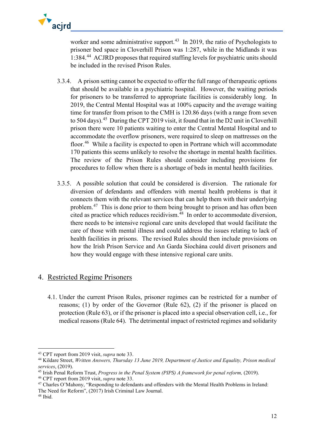

worker and some administrative support.<sup>[43](#page-11-1)</sup> In 2019, the ratio of Psychologists to prisoner bed space in Cloverhill Prison was 1:287, while in the Midlands it was 1:384.[44](#page-11-2) ACJRD proposesthat required staffing levels for psychiatric units should be included in the revised Prison Rules.

- 3.3.4. A prison setting cannot be expected to offer the full range of therapeutic options that should be available in a psychiatric hospital. However, the waiting periods for prisoners to be transferred to appropriate facilities is considerably long. In 2019, the Central Mental Hospital was at 100% capacity and the average waiting time for transfer from prison to the CMH is 120.86 days (with a range from seven to 504 days).<sup>[45](#page-11-3)</sup> During the CPT 2019 visit, it found that in the D2 unit in Cloverhill prison there were 10 patients waiting to enter the Central Mental Hospital and to accommodate the overflow prisoners, were required to sleep on mattresses on the floor.<sup>[46](#page-11-4)</sup> While a facility is expected to open in Portrane which will accommodate 170 patients this seems unlikely to resolve the shortage in mental health facilities. The review of the Prison Rules should consider including provisions for procedures to follow when there is a shortage of beds in mental health facilities.
- 3.3.5. A possible solution that could be considered is diversion. The rationale for diversion of defendants and offenders with mental health problems is that it connects them with the relevant services that can help them with their underlying problem.[47](#page-11-5) This is done prior to them being brought to prison and has often been cited as practice which reduces recidivism. $48$  In order to accommodate diversion, there needs to be intensive regional care units developed that would facilitate the care of those with mental illness and could address the issues relating to lack of health facilities in prisons. The revised Rules should then include provisions on how the Irish Prison Service and An Garda Síochána could divert prisoners and how they would engage with these intensive regional care units.

## <span id="page-11-0"></span>4. Restricted Regime Prisoners

4.1. Under the current Prison Rules, prisoner regimes can be restricted for a number of reasons; (1) by order of the Governor (Rule 62), (2) if the prisoner is placed on protection (Rule 63), or if the prisoner is placed into a special observation cell, i.e., for medical reasons (Rule 64). The detrimental impact of restricted regimes and solidarity

<span id="page-11-1"></span><sup>43</sup> CPT report from 2019 visit, *supra* note 33.

<span id="page-11-2"></span><sup>44</sup> Kildare Street, *Written Answers, Thursday 13 June 2019, Department of Justice and Equality, Prison medical services*, (2019).

<span id="page-11-3"></span><sup>45</sup> Irish Penal Reform Trust, *Progress in the Penal System (PIPS) A framework for penal reform,* (2019).

<span id="page-11-4"></span><sup>46</sup> CPT report from 2019 visit, *supra* note 33.

<span id="page-11-5"></span><sup>47</sup> Charles O'Mahony, "Responding to defendants and offenders with the Mental Health Problems in Ireland: The Need for Reform", (2017) Irish Criminal Law Journal.

<span id="page-11-6"></span><sup>48</sup> Ibid.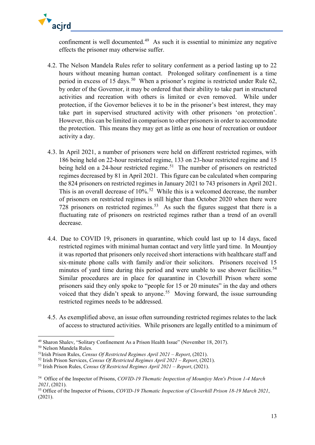

confinement is well documented.<sup>[49](#page-12-0)</sup> As such it is essential to minimize any negative effects the prisoner may otherwise suffer.

- 4.2. The Nelson Mandela Rules refer to solitary conferment as a period lasting up to 22 hours without meaning human contact. Prolonged solitary confinement is a time period in excess of 15 days.<sup>[50](#page-12-1)</sup> When a prisoner's regime is restricted under Rule  $62$ , by order of the Governor, it may be ordered that their ability to take part in structured activities and recreation with others is limited or even removed. While under protection, if the Governor believes it to be in the prisoner's best interest, they may take part in supervised structured activity with other prisoners 'on protection'. However, this can be limited in comparison to other prisoners in order to accommodate the protection. This means they may get as little as one hour of recreation or outdoor activity a day.
- 4.3. In April 2021, a number of prisoners were held on different restricted regimes, with 186 being held on 22-hour restricted regime, 133 on 23-hour restricted regime and 15 being held on a 24-hour restricted regime.<sup>[51](#page-12-2)</sup> The number of prisoners on restricted regimes decreased by 81 in April 2021. This figure can be calculated when comparing the 824 prisoners on restricted regimes in January 2021 to 743 prisoners in April 2021. This is an overall decrease of  $10\%$ <sup>[52](#page-12-3)</sup> While this is a welcomed decrease, the number of prisoners on restricted regimes is still higher than October 2020 when there were 728 prisoners on restricted regimes.<sup>[53](#page-12-4)</sup> As such the figures suggest that there is a fluctuating rate of prisoners on restricted regimes rather than a trend of an overall decrease.
- 4.4. Due to COVID 19, prisoners in quarantine, which could last up to 14 days, faced restricted regimes with minimal human contact and very little yard time. In Mountjoy it was reported that prisoners only received short interactions with healthcare staff and six-minute phone calls with family and/or their solicitors. Prisoners received 15 minutes of yard time during this period and were unable to use shower facilities.<sup>[54](#page-12-5)</sup> Similar procedures are in place for quarantine in Cloverhill Prison where some prisoners said they only spoke to "people for 15 or 20 minutes" in the day and others voiced that they didn't speak to anyone.<sup>[55](#page-12-6)</sup> Moving forward, the issue surrounding restricted regimes needs to be addressed.
- 4.5. As exemplified above, an issue often surrounding restricted regimes relates to the lack of access to structured activities. While prisoners are legally entitled to a minimum of

<span id="page-12-0"></span><sup>49</sup> Sharon Shalev, "Solitary Confinement As a Prison Health Issue" (November 18, 2017).

<span id="page-12-1"></span><sup>50</sup> Nelson Mandela Rules.

<span id="page-12-2"></span><sup>51</sup>Irish Prison Rules, *Census Of Restricted Regimes April 2021 – Report*, (2021).

<span id="page-12-3"></span><sup>52</sup> Irish Prison Services, *Census Of Restricted Regimes April 2021 – Report*, (2021).

<span id="page-12-4"></span><sup>53</sup> Irish Prison Rules, *Census Of Restricted Regimes April 2021 – Report*, (2021).

<span id="page-12-5"></span><sup>54</sup> Office of the Inspector of Prisons, *[COVID-19 Thematic Inspection of Mountjoy Men's Prison 1-4 March](https://www.oip.ie/wp-content/uploads/2021/08/Mountjoy-Prison-COVID19-Thematic-Inspection-Report-2021.pdf)  [2021](https://www.oip.ie/wp-content/uploads/2021/08/Mountjoy-Prison-COVID19-Thematic-Inspection-Report-2021.pdf)*, (2021).

<span id="page-12-6"></span><sup>55</sup> Office of the Inspector of Prisons, *[COVID-19 Thematic Inspection of Cloverhill Prison 18-19 March 2021](https://www.oip.ie/wp-content/uploads/2021/08/Cloverhill-Prison-COVID19-Thematic-Inspection-Report-2021.pdf)*, (2021).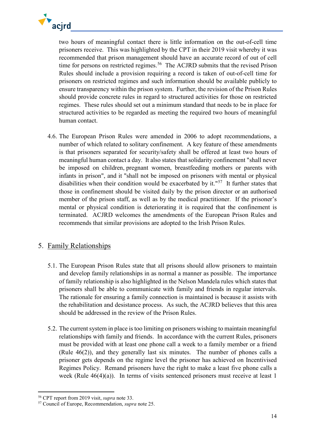

two hours of meaningful contact there is little information on the out-of-cell time prisoners receive. This was highlighted by the CPT in their 2019 visit whereby it was recommended that prison management should have an accurate record of out of cell time for persons on restricted regimes.<sup>[56](#page-13-1)</sup> The ACJRD submits that the revised Prison Rules should include a provision requiring a record is taken of out-of-cell time for prisoners on restricted regimes and such information should be available publicly to ensure transparency within the prison system. Further, the revision of the Prison Rules should provide concrete rules in regard to structured activities for those on restricted regimes. These rules should set out a minimum standard that needs to be in place for structured activities to be regarded as meeting the required two hours of meaningful human contact.

4.6. The European Prison Rules were amended in 2006 to adopt recommendations, a number of which related to solitary confinement. A key feature of these amendments is that prisoners separated for security/safety shall be offered at least two hours of meaningful human contact a day. It also states that solidarity confinement "shall never be imposed on children, pregnant women, breastfeeding mothers or parents with infants in prison", and it "shall not be imposed on prisoners with mental or physical disabilities when their condition would be exacerbated by it."<sup>[57](#page-13-2)</sup> It further states that those in confinement should be visited daily by the prison director or an authorised member of the prison staff, as well as by the medical practitioner. If the prisoner's mental or physical condition is deteriorating it is required that the confinement is terminated. ACJRD welcomes the amendments of the European Prison Rules and recommends that similar provisions are adopted to the Irish Prison Rules.

## <span id="page-13-0"></span>5. Family Relationships

- 5.1. The European Prison Rules state that all prisons should allow prisoners to maintain and develop family relationships in as normal a manner as possible. The importance of family relationship is also highlighted in the Nelson Mandela rules which states that prisoners shall be able to communicate with family and friends in regular intervals. The rationale for ensuring a family connection is maintained is because it assists with the rehabilitation and desistance process. As such, the ACJRD believes that this area should be addressed in the review of the Prison Rules.
- 5.2. The current system in place is too limiting on prisoners wishing to maintain meaningful relationships with family and friends. In accordance with the current Rules, prisoners must be provided with at least one phone call a week to a family member or a friend (Rule 46(2)), and they generally last six minutes. The number of phones calls a prisoner gets depends on the regime level the prisoner has achieved on Incentivised Regimes Policy. Remand prisoners have the right to make a least five phone calls a week (Rule 46(4)(a)). In terms of visits sentenced prisoners must receive at least 1

<span id="page-13-1"></span><sup>56</sup> CPT report from 2019 visit, *supra* note 33.

<span id="page-13-2"></span><sup>57</sup> Council of Europe, Recommendation, *supra* note 25.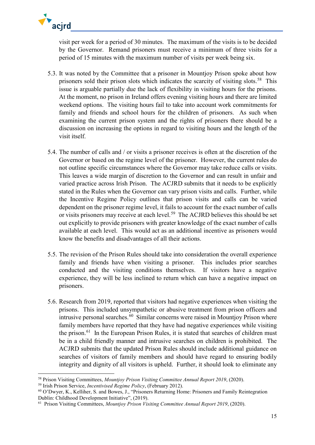

visit per week for a period of 30 minutes. The maximum of the visits is to be decided by the Governor. Remand prisoners must receive a minimum of three visits for a period of 15 minutes with the maximum number of visits per week being six.

- 5.3. It was noted by the Committee that a prisoner in Mountjoy Prison spoke about how prisoners sold their prison slots which indicates the scarcity of visiting slots.<sup>[58](#page-14-0)</sup> This issue is arguable partially due the lack of flexibility in visiting hours for the prisons. At the moment, no prison in Ireland offers evening visiting hours and there are limited weekend options. The visiting hours fail to take into account work commitments for family and friends and school hours for the children of prisoners. As such when examining the current prison system and the rights of prisoners there should be a discussion on increasing the options in regard to visiting hours and the length of the visit itself.
- 5.4. The number of calls and / or visits a prisoner receives is often at the discretion of the Governor or based on the regime level of the prisoner. However, the current rules do not outline specific circumstances where the Governor may take reduce calls or visits. This leaves a wide margin of discretion to the Governor and can result in unfair and varied practice across Irish Prison. The ACJRD submits that it needs to be explicitly stated in the Rules when the Governor can vary prison visits and calls. Further, while the Incentive Regime Policy outlines that prison visits and calls can be varied dependent on the prisoner regime level, it fails to account for the exact number of calls or visits prisoners may receive at each level.<sup>[59](#page-14-1)</sup> The ACJRD believes this should be set out explicitly to provide prisoners with greater knowledge of the exact number of calls available at each level. This would act as an additional incentive as prisoners would know the benefits and disadvantages of all their actions.
- 5.5. The revision of the Prison Rules should take into consideration the overall experience family and friends have when visiting a prisoner. This includes prior searches conducted and the visiting conditions themselves. If visitors have a negative experience, they will be less inclined to return which can have a negative impact on prisoners.
- 5.6. Research from 2019, reported that visitors had negative experiences when visiting the prisons. This included unsympathetic or abusive treatment from prison officers and intrusive personal searches.<sup>[60](#page-14-2)</sup> Similar concerns were raised in Mountjoy Prison where family members have reported that they have had negative experiences while visiting the prison.<sup>[61](#page-14-3)</sup> In the European Prison Rules, it is stated that searches of children must be in a child friendly manner and intrusive searches on children is prohibited. The ACJRD submits that the updated Prison Rules should include additional guidance on searches of visitors of family members and should have regard to ensuring bodily integrity and dignity of all visitors is upheld. Further, it should look to eliminate any

**.** 

<span id="page-14-0"></span><sup>58</sup> Prison Visiting Committees, *Mountjoy Prison Visiting Committee Annual Report 2019*[,](http://www.justice.ie/en/JELR/Mountjoy%20Prison%20Visiting%20Committee%20Annual%20Report%202019.pdf/Files/Mountjoy%20Prison%20Visiting%20Committee%20Annual%20Report%202019.pdf) (2020). 59 Irish Prison Service, *Incentivised Regime Policy*, (February 2012).

<span id="page-14-2"></span><span id="page-14-1"></span><sup>60</sup> O'Dwyer, K., Kelliher, S. and Bowes, J., "Prisoners Returning Home: Prisoners and Family Reintegration Dublin: Childhood Development Initiative", (2019).

<span id="page-14-3"></span><sup>61</sup> Prison Visiting Committees, *[Mountjoy Prison Visiting Committee Annual Report 2019](http://www.justice.ie/en/JELR/Mountjoy%20Prison%20Visiting%20Committee%20Annual%20Report%202019.pdf/Files/Mountjoy%20Prison%20Visiting%20Committee%20Annual%20Report%202019.pdf)*, (2020).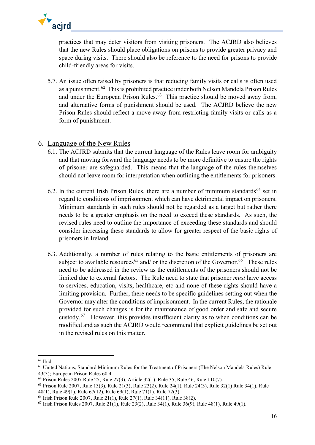

practices that may deter visitors from visiting prisoners. The ACJRD also believes that the new Rules should place obligations on prisons to provide greater privacy and space during visits. There should also be reference to the need for prisons to provide child-friendly areas for visits.

5.7. An issue often raised by prisoners is that reducing family visits or calls is often used as a punishment.<sup>[62](#page-15-1)</sup> This is prohibited practice under both Nelson Mandela Prison Rules and under the European Prison Rules.<sup>[63](#page-15-2)</sup> This practice should be moved away from, and alternative forms of punishment should be used. The ACJRD believe the new Prison Rules should reflect a move away from restricting family visits or calls as a form of punishment.

## <span id="page-15-0"></span>6. Language of the New Rules

- 6.1. The ACJRD submits that the current language of the Rules leave room for ambiguity and that moving forward the language needs to be more definitive to ensure the rights of prisoner are safeguarded. This means that the language of the rules themselves should not leave room for interpretation when outlining the entitlements for prisoners.
- 6.2. In the current Irish Prison Rules, there are a number of minimum standards<sup>[64](#page-15-3)</sup> set in regard to conditions of imprisonment which can have detrimental impact on prisoners. Minimum standards in such rules should not be regarded as a target but rather there needs to be a greater emphasis on the need to exceed these standards. As such, the revised rules need to outline the importance of exceeding these standards and should consider increasing these standards to allow for greater respect of the basic rights of prisoners in Ireland.
- 6.3. Additionally, a number of rules relating to the basic entitlements of prisoners are subject to available resources<sup>[65](#page-15-4)</sup> and/ or the discretion of the Governor.<sup>66</sup> These rules need to be addressed in the review as the entitlements of the prisoners should not be limited due to external factors. The Rule need to state that prisoner *must* have access to services, education, visits, healthcare, etc and none of these rights should have a limiting provision. Further, there needs to be specific guidelines setting out when the Governor may alter the conditions of imprisonment. In the current Rules, the rationale provided for such changes is for the maintenance of good order and safe and secure custody.[67](#page-15-6) However, this provides insufficient clarity as to when conditions can be modified and as such the ACJRD would recommend that explicit guidelines be set out in the revised rules on this matter.

<sup>62</sup> Ibid.

<span id="page-15-2"></span><span id="page-15-1"></span><sup>&</sup>lt;sup>63</sup> United Nations, Standard Minimum Rules for the Treatment of Prisoners (The Nelson Mandela Rules) Rule 43(3); European Prison Rules 60.4.

<span id="page-15-3"></span><sup>64</sup> Prison Rules 2007 Rule 25, Rule 27(3), Article 32(1), Rule 35, Rule 46, Rule 110(7).

<span id="page-15-4"></span><sup>65</sup> Prison Rule 2007, Rule 13(3), Rule 21(3), Rule 23(2), Rule 24(1), Rule 24(3), Rule 32(1) Rule 34(1), Rule 48(1), Rule 49(1), Rule 67(12), Rule 69(1), Rule 71(1), Rule 72(3).

<span id="page-15-5"></span><sup>66</sup> Irish Prison Rule 2007, Rule 21(1), Rule 27(1), Rule 34(11), Rule 38(2).

<span id="page-15-6"></span> $67$  Irish Prison Rules 2007, Rule 21(1), Rule 23(2), Rule 34(1), Rule 36(9), Rule 48(1), Rule 49(1).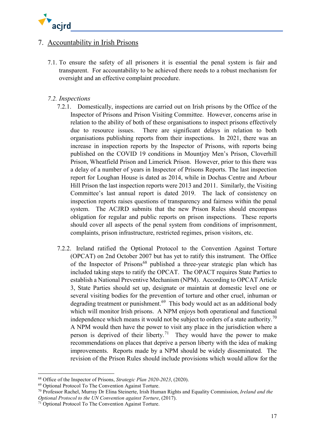

## <span id="page-16-0"></span>7. Accountability in Irish Prisons

7.1. To ensure the safety of all prisoners it is essential the penal system is fair and transparent. For accountability to be achieved there needs to a robust mechanism for oversight and an effective complaint procedure.

## <span id="page-16-1"></span>*7.2. Inspections*

- 7.2.1. Domestically, inspections are carried out on Irish prisons by the Office of the Inspector of Prisons and Prison Visiting Committee. However, concerns arise in relation to the ability of both of these organisations to inspect prisons effectively due to resource issues. There are significant delays in relation to both organisations publishing reports from their inspections. In 2021, there was an increase in inspection reports by the Inspector of Prisons, with reports being published on the COVID 19 conditions in Mountjoy Men's Prison, Cloverhill Prison, Wheatfield Prison and Limerick Prison. However, prior to this there was a delay of a number of years in Inspector of Prisons Reports. The last inspection report for Loughan House is dated as 2014, while in Dochas Centre and Arbour Hill Prison the last inspection reports were 2013 and 2011. Similarly, the Visiting Committee's last annual report is dated 2019. The lack of consistency on inspection reports raises questions of transparency and fairness within the penal system. The ACJRD submits that the new Prison Rules should encompass obligation for regular and public reports on prison inspections. These reports should cover all aspects of the penal system from conditions of imprisonment, complaints, prison infrastructure, restricted regimes, prison visitors, etc.
- 7.2.2. Ireland ratified the Optional Protocol to the Convention Against Torture (OPCAT) on 2nd October 2007 but has yet to ratify this instrument. The Office of the Inspector of Prisons<sup>[68](#page-16-2)</sup> published a three-year strategic plan which has included taking steps to ratify the OPCAT. The OPACT requires State Parties to establish a National Preventive Mechanism (NPM). According to OPCAT Article 3, State Parties should set up, designate or maintain at domestic level one or several visiting bodies for the prevention of torture and other cruel, inhuman or degrading treatment or punishment.<sup>[69](#page-16-3)</sup> This body would act as an additional body which will monitor Irish prisons. A NPM enjoys both operational and functional independence which means it would not be subject to orders of a state authority.<sup>[70](#page-16-4)</sup> A NPM would then have the power to visit any place in the jurisdiction where a person is deprived of their liberty.<sup>[71](#page-16-5)</sup> They would have the power to make recommendations on places that deprive a person liberty with the idea of making improvements. Reports made by a NPM should be widely disseminated. The revision of the Prison Rules should include provisions which would allow for the

**.** 

<span id="page-16-2"></span><sup>68</sup> Office of the Inspector of Prisons, *Strategic Plan 2020-2023*, (2020).

<span id="page-16-3"></span><sup>69</sup> Optional Protocol To The Convention Against Torture.

<span id="page-16-4"></span><sup>70</sup> Professor Rachel, Murray Dr Elina Steinerte, Irish Human Rights and Equality Commission, *Ireland and the Optional Protocol to the UN Convention against Torture*, (2017).

<span id="page-16-5"></span><sup>&</sup>lt;sup>71</sup> Optional Protocol To The Convention Against Torture.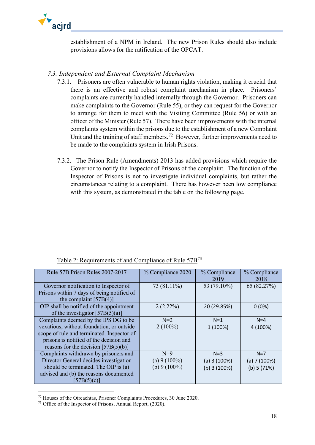

establishment of a NPM in Ireland. The new Prison Rules should also include provisions allows for the ratification of the OPCAT.

## <span id="page-17-0"></span>*7.3. Independent and External Complaint Mechanism*

- 7.3.1. Prisoners are often vulnerable to human rights violation, making it crucial that there is an effective and robust complaint mechanism in place. Prisoners' complaints are currently handled internally through the Governor. Prisoners can make complaints to the Governor (Rule 55), or they can request for the Governor to arrange for them to meet with the Visiting Committee (Rule 56) or with an officer of the Minister (Rule 57). There have been improvements with the internal complaints system within the prisons due to the establishment of a new Complaint Unit and the training of staff members.<sup>[72](#page-17-1)</sup> However, further improvements need to be made to the complaints system in Irish Prisons.
- 7.3.2. The Prison Rule (Amendments) 2013 has added provisions which require the Governor to notify the Inspector of Prisons of the complaint. The function of the Inspector of Prisons is not to investigate individual complaints, but rather the circumstances relating to a complaint. There has however been low compliance with this system, as demonstrated in the table on the following page.

| Rule 57B Prison Rules 2007-2017            | % Compliance 2020 | % Compliance   | % Compliance  |
|--------------------------------------------|-------------------|----------------|---------------|
|                                            |                   | 2019           | 2018          |
|                                            |                   |                |               |
| Governor notification to Inspector of      | 73 (81.11%)       | 53 (79.10%)    | 65 (82.27%)   |
| Prisons within 7 days of being notified of |                   |                |               |
| the complaint $[57B(4)]$                   |                   |                |               |
| OIP shall be notified of the appointment   | 2(2.22%)          | 20 (29.85%)    | $0(0\%)$      |
| of the investigator $[57B(5)(a)]$          |                   |                |               |
| Complaints deemed by the IPS DG to be      | $N=2$             | $N=1$          | $N = 4$       |
| vexatious, without foundation, or outside  | $2(100\%)$        | 1 (100%)       | 4 (100%)      |
| scope of rule and terminated. Inspector of |                   |                |               |
| prisons is notified of the decision and    |                   |                |               |
| reasons for the decision $[57B(5)(b)]$     |                   |                |               |
| Complaints withdrawn by prisoners and      | $N=9$             | $N=3$          | $N=7$         |
| Director General decides investigation     | (a) $9(100\%)$    | (a) 3(100%)    | (a) $7(100%)$ |
| should be terminated. The OIP is (a)       | (b) $9(100\%)$    | $(b)$ 3 (100%) | (b) 5(71%)    |
| advised and (b) the reasons documented     |                   |                |               |
| [57B(5)(c)]                                |                   |                |               |

Table 2: Requirements of and Compliance of Rule 57B[73](#page-17-2)

<span id="page-17-1"></span><sup>72</sup> Houses of the Oireachtas, Prisoner Complaints Procedures, 30 June 2020.

<span id="page-17-2"></span><sup>73</sup> Office of the Inspector of Prisons, Annual Report, (2020).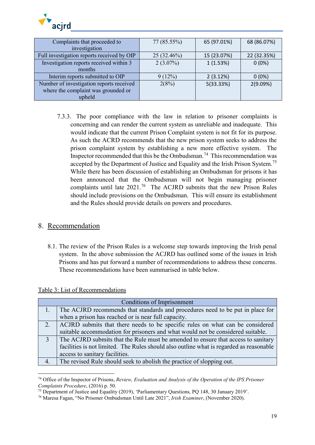

| Complaints that proceeded to               | $77(85.55\%)$ | 65 (97.01%) | 68 (86.07%) |
|--------------------------------------------|---------------|-------------|-------------|
| investigation                              |               |             |             |
| Full investigation reports received by OIP | 25 (32.46%)   | 15 (23.07%) | 22 (32.35%) |
| Investigation reports received within 3    | $2(3.07\%)$   | 1(1.53%)    | $0(0\%)$    |
| months                                     |               |             |             |
| Interim reports submitted to OIP           | 9(12%)        | 2(3.12%)    | $0(0\%)$    |
| Number of investigation reports received   | 2(8%)         | 5(33.33%)   | 2(9.09%)    |
| where the complaint was grounded or        |               |             |             |
| upheld                                     |               |             |             |

7.3.3. The poor compliance with the law in relation to prisoner complaints is concerning and can render the current system as unreliable and inadequate. This would indicate that the current Prison Complaint system is not fit for its purpose. As such the ACRD recommends that the new prison system seeks to address the prison complaint system by establishing a new more effective system. The Inspector recommended that this be the Ombudsman.<sup>[74](#page-18-1)</sup> This recommendation was accepted by the Department of Justice and Equality and the Irish Prison System.<sup>[75](#page-18-2)</sup> While there has been discussion of establishing an Ombudsman for prisons it has been announced that the Ombudsman will not begin managing prisoner complaints until late 2021.<sup>[76](#page-18-3)</sup> The ACJRD submits that the new Prison Rules should include provisions on the Ombudsman. This will ensure its establishment and the Rules should provide details on powers and procedures.

## <span id="page-18-0"></span>8. Recommendation

8.1. The review of the Prison Rules is a welcome step towards improving the Irish penal system. In the above submission the ACJRD has outlined some of the issues in Irish Prisons and has put forward a number of recommendations to address these concerns. These recommendations have been summarised in table below.

| Table 3: List of Recommendations |
|----------------------------------|
|----------------------------------|

**.** 

|                | Conditions of Imprisonment                                                              |
|----------------|-----------------------------------------------------------------------------------------|
|                | The ACJRD recommends that standards and procedures need to be put in place for          |
|                | when a prison has reached or is near full capacity.                                     |
| 2.             | ACJRD submits that there needs to be specific rules on what can be considered           |
|                | suitable accommodation for prisoners and what would not be considered suitable.         |
| $\overline{3}$ | The ACJRD submits that the Rule must be amended to ensure that access to sanitary       |
|                | facilities is not limited. The Rules should also outline what is regarded as reasonable |
|                | access to sanitary facilities.                                                          |
| 4.             | The revised Rule should seek to abolish the practice of slopping out.                   |

<span id="page-18-1"></span><sup>74</sup> Office of the Inspector of Prisons, *Review, Evaluation and Analysis of the Operation of the IPS Prisoner Complaints Procedure*, (2016) p. 50.

<span id="page-18-2"></span><sup>&</sup>lt;sup>75</sup> Department of Justice and Equality (2019), 'Parliamentary Ouestions, PO 148, 30 January 2019'.

<span id="page-18-3"></span><sup>76</sup> Maresa Fagan, "No Prisoner Ombudsman Until Late 2021", *Irish Examiner*, (November 2020).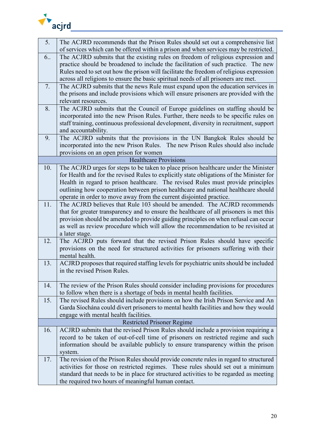

| 5.  | The ACJRD recommends that the Prison Rules should set out a comprehensive list                                                                                          |
|-----|-------------------------------------------------------------------------------------------------------------------------------------------------------------------------|
|     | of services which can be offered within a prison and when services may be restricted.                                                                                   |
| 6.  | The ACJRD submits that the existing rules on freedom of religious expression and                                                                                        |
|     | practice should be broadened to include the facilitation of such practice. The new                                                                                      |
|     | Rules need to set out how the prison will facilitate the freedom of religious expression                                                                                |
|     | across all religions to ensure the basic spiritual needs of all prisoners are met.                                                                                      |
| 7.  | The ACJRD submits that the news Rule must expand upon the education services in                                                                                         |
|     | the prisons and include provisions which will ensure prisoners are provided with the                                                                                    |
|     | relevant resources.                                                                                                                                                     |
| 8.  | The ACJRD submits that the Council of Europe guidelines on staffing should be                                                                                           |
|     | incorporated into the new Prison Rules. Further, there needs to be specific rules on                                                                                    |
|     | staff training, continuous professional development, diversity in recruitment, support                                                                                  |
|     | and accountability.                                                                                                                                                     |
| 9.  | The ACJRD submits that the provisions in the UN Bangkok Rules should be                                                                                                 |
|     | incorporated into the new Prison Rules. The new Prison Rules should also include                                                                                        |
|     | provisions on an open prison for women<br><b>Healthcare Provisions</b>                                                                                                  |
| 10. | The ACJRD urges for steps to be taken to place prison healthcare under the Minister                                                                                     |
|     | for Health and for the revised Rules to explicitly state obligations of the Minister for                                                                                |
|     | Health in regard to prison healthcare. The revised Rules must provide principles                                                                                        |
|     | outlining how cooperation between prison healthcare and national healthcare should                                                                                      |
|     | operate in order to move away from the current disjointed practice.                                                                                                     |
| 11. | The ACJRD believes that Rule 103 should be amended. The ACJRD recommends                                                                                                |
|     | that for greater transparency and to ensure the healthcare of all prisoners is met this                                                                                 |
|     | provision should be amended to provide guiding principles on when refusal can occur                                                                                     |
|     | as well as review procedure which will allow the recommendation to be revisited at                                                                                      |
|     | a later stage.                                                                                                                                                          |
| 12. | The ACJRD puts forward that the revised Prison Rules should have specific                                                                                               |
|     | provisions on the need for structured activities for prisoners suffering with their                                                                                     |
|     | mental health.                                                                                                                                                          |
| 13. | ACJRD proposes that required staffing levels for psychiatric units should be included                                                                                   |
|     | in the revised Prison Rules.                                                                                                                                            |
|     |                                                                                                                                                                         |
| 14. | The review of the Prison Rules should consider including provisions for procedures                                                                                      |
|     | to follow when there is a shortage of beds in mental health facilities.                                                                                                 |
| 15. | The revised Rules should include provisions on how the Irish Prison Service and An                                                                                      |
|     | Garda Síochána could divert prisoners to mental health facilities and how they would                                                                                    |
|     | engage with mental health facilities.                                                                                                                                   |
| 16. | <b>Restricted Prisoner Regime</b>                                                                                                                                       |
|     | ACJRD submits that the revised Prison Rules should include a provision requiring a<br>record to be taken of out-of-cell time of prisoners on restricted regime and such |
|     |                                                                                                                                                                         |
|     | information should be available publicly to ensure transparency within the prison<br>system.                                                                            |
| 17. | The revision of the Prison Rules should provide concrete rules in regard to structured                                                                                  |
|     | activities for those on restricted regimes. These rules should set out a minimum                                                                                        |
|     | standard that needs to be in place for structured activities to be regarded as meeting                                                                                  |
|     | the required two hours of meaningful human contact.                                                                                                                     |
|     |                                                                                                                                                                         |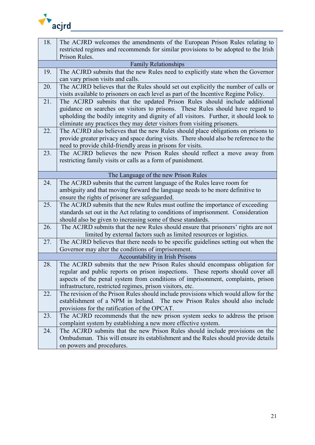

| 18. | The ACJRD welcomes the amendments of the European Prison Rules relating to             |
|-----|----------------------------------------------------------------------------------------|
|     | restricted regimes and recommends for similar provisions to be adopted to the Irish    |
|     | Prison Rules.                                                                          |
|     | <b>Family Relationships</b>                                                            |
| 19. | The ACJRD submits that the new Rules need to explicitly state when the Governor        |
|     | can vary prison visits and calls.                                                      |
| 20. | The ACJRD believes that the Rules should set out explicitly the number of calls or     |
|     | visits available to prisoners on each level as part of the Incentive Regime Policy.    |
| 21. | The ACJRD submits that the updated Prison Rules should include additional              |
|     | guidance on searches on visitors to prisons. These Rules should have regard to         |
|     | upholding the bodily integrity and dignity of all visitors. Further, it should look to |
|     | eliminate any practices they may deter visitors from visiting prisoners.               |
| 22. | The ACJRD also believes that the new Rules should place obligations on prisons to      |
|     | provide greater privacy and space during visits. There should also be reference to the |
|     | need to provide child-friendly areas in prisons for visits.                            |
| 23. | The ACJRD believes the new Prison Rules should reflect a move away from                |
|     | restricting family visits or calls as a form of punishment.                            |
|     |                                                                                        |
|     | The Language of the new Prison Rules                                                   |
| 24. | The ACJRD submits that the current language of the Rules leave room for                |
|     | ambiguity and that moving forward the language needs to be more definitive to          |
|     | ensure the rights of prisoner are safeguarded.                                         |
| 25. | The ACJRD submits that the new Rules must outline the importance of exceeding          |
|     | standards set out in the Act relating to conditions of imprisonment. Consideration     |
|     | should also be given to increasing some of these standards.                            |
| 26. | The ACJRD submits that the new Rules should ensure that prisoners' rights are not      |
|     | limited by external factors such as limited resources or logistics.                    |
| 27. | The ACJRD believes that there needs to be specific guidelines setting out when the     |
|     | Governor may alter the conditions of imprisonment.                                     |
|     | Accountability in Irish Prisons                                                        |
| 28. | The ACJRD submits that the new Prison Rules should encompass obligation for            |
|     | regular and public reports on prison inspections. These reports should cover all       |
|     | aspects of the penal system from conditions of imprisonment, complaints, prison        |
|     | infrastructure, restricted regimes, prison visitors, etc.                              |
| 22. | The revision of the Prison Rules should include provisions which would allow for the   |
|     | establishment of a NPM in Ireland. The new Prison Rules should also include            |
|     | provisions for the ratification of the OPCAT.                                          |
| 23. | The ACJRD recommends that the new prison system seeks to address the prison            |
|     | complaint system by establishing a new more effective system.                          |
| 24. | The ACJRD submits that the new Prison Rules should include provisions on the           |
|     | Ombudsman. This will ensure its establishment and the Rules should provide details     |
|     | on powers and procedures.                                                              |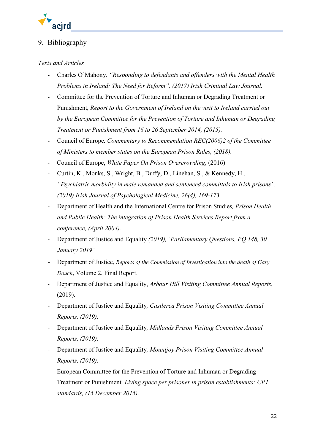

## <span id="page-21-0"></span>9. Bibliography

## *Texts and Articles*

- Charles O'Mahony*, "Responding to defendants and offenders with the Mental Health Problems in Ireland: The Need for Reform", (2017) Irish Criminal Law Journal.*
- Committee for the Prevention of Torture and Inhuman or Degrading Treatment or Punishment*, Report to the Government of Ireland on the visit to Ireland carried out by the European Committee for the Prevention of Torture and Inhuman or Degrading Treatment or Punishment from 16 to 26 September 2014, (2015).*
- Council of Europe*, Commentary to Recommendation REC(2006)2 of the Committee of Ministers to member states on the European Prison Rules, (2018).*
- Council of Europe, *White Paper On Prison Overcrowding*, (2016)
- Curtin, K., Monks, S., Wright, B., Duffy, D., Linehan, S., & Kennedy, H., *"Psychiatric morbidity in male remanded and sentenced committals to Irish prisons", (2019) Irish Journal of Psychological Medicine, 26(4), 169-173.*
- Department of Health and the International Centre for Prison Studies*, Prison Health and Public Health: The integration of Prison Health Services Report from a conference, (April 2004).*
- Department of Justice and Equality *(2019), 'Parliamentary Questions, PQ 148, 30 January 2019'*
- Department of Justice, *Reports of the Commission of Investigation into the death of Gary Douch*, Volume 2, Final Report.
- Department of Justice and Equality, *Arbour Hill Visiting Committee Annual Reports*, (2019).
- Department of Justice and Equality*, Castlerea Prison Visiting Committee Annual Reports, (2019).*
- Department of Justice and Equality*, Midlands Prison Visiting Committee Annual Reports, (2019).*
- Department of Justice and Equality*, Mountjoy Prison Visiting Committee Annual Reports, (2019).*
- European Committee for the Prevention of Torture and Inhuman or Degrading Treatment or Punishment*, Living space per prisoner in prison establishments: CPT standards, (15 December 2015).*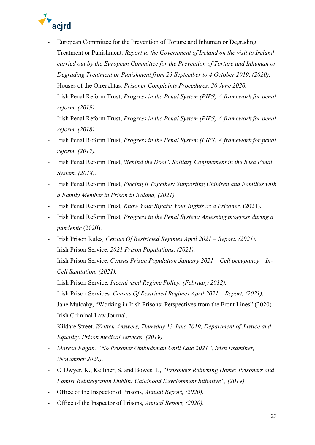

- European Committee for the Prevention of Torture and Inhuman or Degrading Treatment or Punishment*, Report to the Government of Ireland on the visit to Ireland carried out by the European Committee for the Prevention of Torture and Inhuman or Degrading Treatment or Punishment from 23 September to 4 October 2019, (2020).*
- Houses of the Oireachtas*, Prisoner Complaints Procedures, 30 June 2020.*
- Irish Penal Reform Trust, *Progress in the Penal System (PIPS) A framework for penal reform, (2019).*
- Irish Penal Reform Trust, *Progress in the Penal System (PIPS) A framework for penal reform, (2018).*
- Irish Penal Reform Trust, *Progress in the Penal System (PIPS) A framework for penal reform, (2017).*
- Irish Penal Reform Trust, *'Behind the Door': Solitary Confinement in the Irish Penal System, (2018).*
- Irish Penal Reform Trust, *Piecing It Together: Supporting Children and Families with a Family Member in Prison in Ireland, (2021).*
- Irish Penal Reform Trust*, Know Your Rights: Your Rights as a Prisoner,* (2021).
- Irish Penal Reform Trust*, Progress in the Penal System: Assessing progress during a pandemic* (2020).
- Irish Prison Rules*, Census Of Restricted Regimes April 2021 – Report, (2021).*
- Irish Prison Service*, 2021 Prison Populations, (2021).*
- Irish Prison Service*, Census Prison Population January 2021 – Cell occupancy – In-Cell Sanitation, (2021).*
- Irish Prison Service*, Incentivised Regime Policy, (February 2012).*
- Irish Prison Services*, Census Of Restricted Regimes April 2021 – Report, (2021).*
- Jane Mulcahy, "Working in Irish Prisons: Perspectives from the Front Lines" (2020) Irish Criminal Law Journal.
- Kildare Street*, Written Answers, Thursday 13 June 2019, Department of Justice and Equality, Prison medical services, (2019).*
- *Maresa Fagan, "No Prisoner Ombudsman Until Late 2021", Irish Examiner, (November 2020).*
- O'Dwyer, K., Kelliher, S. and Bowes, J., *"Prisoners Returning Home: Prisoners and Family Reintegration Dublin: Childhood Development Initiative", (2019).*
- Office of the Inspector of Prisons*, Annual Report, (2020).*
- Office of the Inspector of Prisons*, Annual Report, (2020).*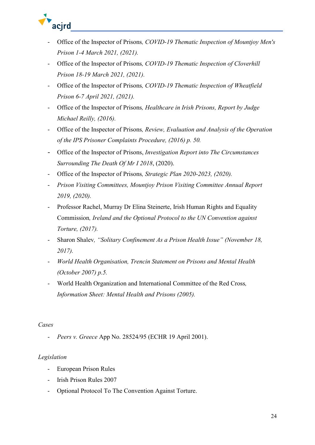

- Office of the Inspector of Prisons*, COVID-19 Thematic Inspection of Mountjoy Men's Prison 1-4 March 2021, (2021).*
- Office of the Inspector of Prisons*, COVID-19 Thematic Inspection of Cloverhill Prison 18-19 March 2021, (2021).*
- Office of the Inspector of Prisons*, COVID-19 Thematic Inspection of Wheatfield Prison 6-7 April 2021, (2021).*
- Office of the Inspector of Prisons*, Healthcare in Irish Prisons, Report by Judge Michael Reilly, (2016).*
- Office of the Inspector of Prisons*, Review, Evaluation and Analysis of the Operation of the IPS Prisoner Complaints Procedure, (2016) p. 50.*
- Office of the Inspector of Prisons, *Investigation Report into The Circumstances Surrounding The Death Of Mr I 2018*, (2020).
- Office of the Inspector of Prisons*, Strategic Plan 2020-2023, (2020).*
- *Prison Visiting Committees, Mountjoy Prison Visiting Committee Annual Report 2019, (2020).*
- Professor Rachel, Murray Dr Elina Steinerte, Irish Human Rights and Equality Commission*, Ireland and the Optional Protocol to the UN Convention against Torture, (2017).*
- Sharon Shalev*, "Solitary Confinement As a Prison Health Issue" (November 18, 2017).*
- *World Health Organisation, Trencin Statement on Prisons and Mental Health (October 2007) p.5.*
- World Health Organization and International Committee of the Red Cross*, Information Sheet: Mental Health and Prisons (2005).*

## *Cases*

- *Peers v. Greece* App No. 28524/95 (ECHR 19 April 2001).

## *Legislation*

- European Prison Rules
- Irish Prison Rules 2007
- Optional Protocol To The Convention Against Torture.